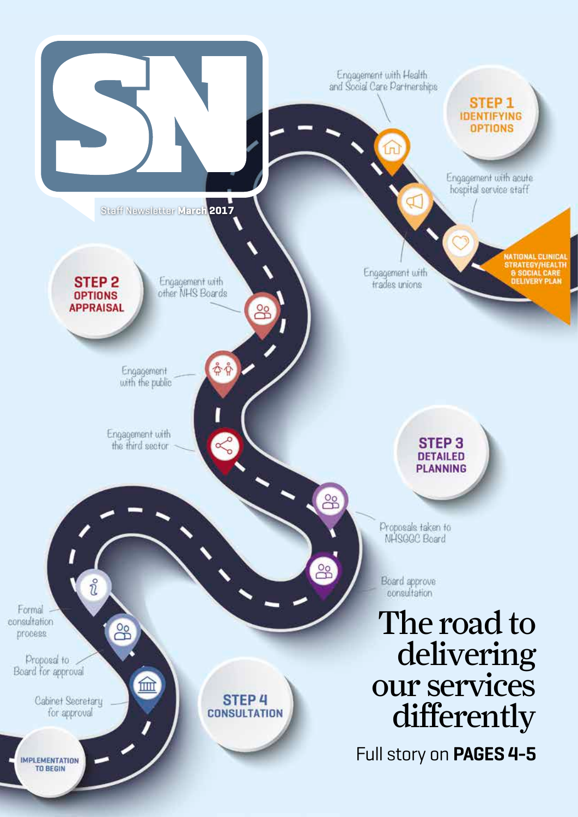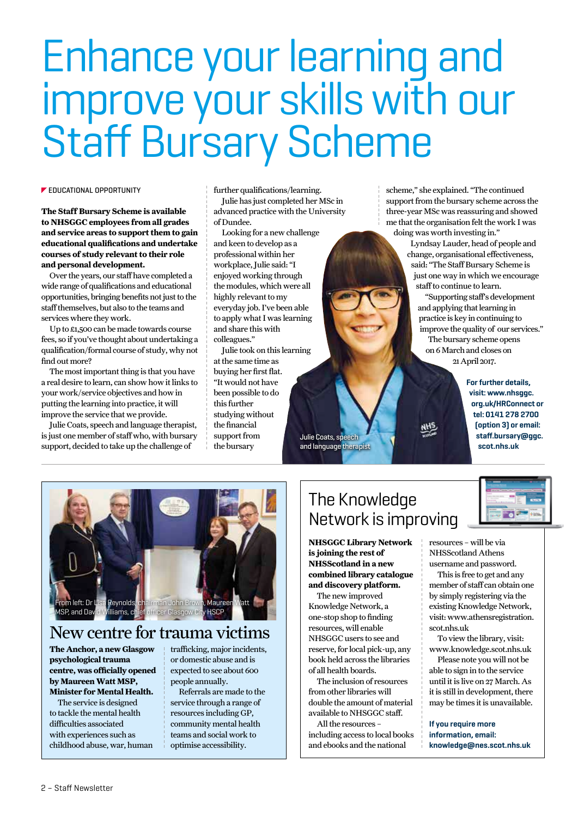# Enhance your learning and improve your skills with our Staff Bursary Scheme

#### **EDUCATIONAL OPPORTUNITY**

**The Staff Bursary Scheme is available to NHSGGC employees from all grades and service areas to support them to gain educational qualifications and undertake courses of study relevant to their role and personal development.**

Over the years, our staff have completed a wide range of qualifications and educational opportunities, bringing benefits not just to the staff themselves, but also to the teams and services where they work.

Up to £1,500 can be made towards course fees, so if you've thought about undertaking a qualification/formal course of study, why not find out more?

The most important thing is that you have a real desire to learn, can show how it links to your work/service objectives and how in putting the learning into practice, it will improve the service that we provide.

Julie Coats, speech and language therapist, is just one member of staff who, with bursary support, decided to take up the challenge of

further qualifications/learning. Julie has just completed her MSc in advanced practice with the University of Dundee.

Looking for a new challenge and keen to develop as a professional within her workplace, Julie said: "I enjoyed working through the modules, which were all highly relevant to my everyday job. I've been able to apply what I was learning and share this with colleagues."

Julie took on this learning at the same time as buying her first flat. "It would not have been possible to do this further studying without the financial support from the bursary Julie Coats, speech and language therapist scheme," she explained. "The continued support from the bursary scheme across the three-year MSc was reassuring and showed me that the organisation felt the work I was doing was worth investing in."

Lyndsay Lauder, head of people and change, organisational effectiveness, said: "The Staff Bursary Scheme is just one way in which we encourage staff to continue to learn.

"Supporting staff's development and applying that learning in practice is key in continuing to improve the quality of our services." The bursary scheme opens on 6 March and closes on 21 April 2017.

> **For further details, visit: www.nhsggc. org.uk/HRConnect or tel: 0141 278 2700 (option 3) or email: staff.bursary@ggc. scot.nhs.uk**



## New centre for trauma victims

**The Anchor, a new Glasgow psychological trauma centre, was officially opened by Maureen Watt MSP, Minister for Mental Health.**

The service is designed to tackle the mental health difficulties associated with experiences such as childhood abuse, war, human trafficking, major incidents, or domestic abuse and is expected to see about 600 people annually.

Referrals are made to the service through a range of resources including GP, community mental health teams and social work to optimise accessibility.

## The Knowledge Network is improving

**NHSGGC Library Network is joining the rest of NHSScotland in a new combined library catalogue and discovery platform.** 

The new improved Knowledge Network, a one-stop shop to finding resources, will enable NHSGGC users to see and reserve, for local pick-up, any book held across the libraries of all health boards.

The inclusion of resources from other libraries will double the amount of material available to NHSGGC staff.

All the resources – including access to local books and ebooks and the national



resources – will be via NHSScotland Athens username and password.

This is free to get and any member of staff can obtain one by simply registering via the existing Knowledge Network, visit: www.athensregistration. scot.nhs.uk

To view the library, visit: www.knowledge.scot.nhs.uk

Please note you will not be able to sign in to the service until it is live on 27 March. As it is still in development, there may be times it is unavailable.

**If you require more information, email: knowledge@nes.scot.nhs.uk**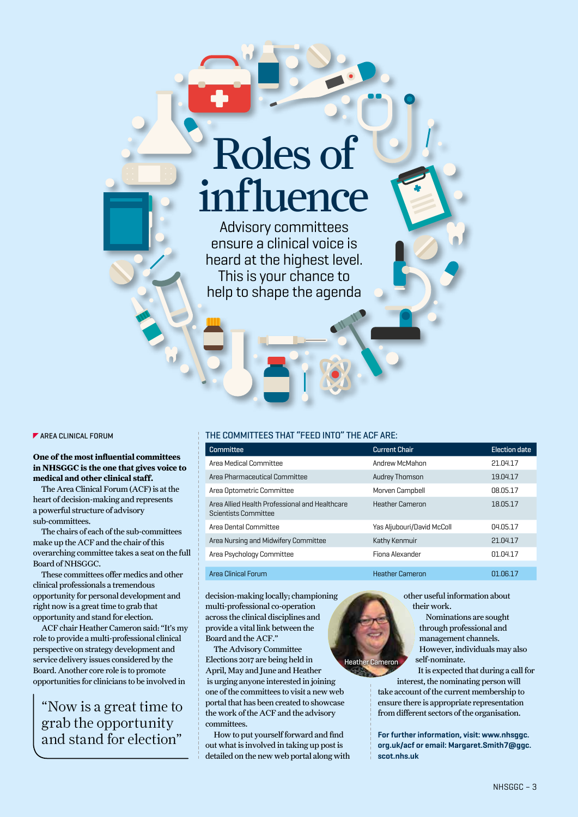# Roles of influence

Advisory committees ensure a clinical voice is heard at the highest level. This is your chance to help to shape the agenda

 $\blacktriangleright$  AREA CLINICAL FORUM

#### **One of the most influential committees in NHSGGC is the one that gives voice to medical and other clinical staff.**

The Area Clinical Forum (ACF) is at the heart of decision-making and represents a powerful structure of advisory sub-committees.

The chairs of each of the sub-committees make up the ACF and the chair of this overarching committee takes a seat on the full Board of NHSGGC.

These committees offer medics and other clinical professionals a tremendous opportunity for personal development and right now is a great time to grab that opportunity and stand for election.

ACF chair Heather Cameron said: "It's my role to provide a multi-professional clinical perspective on strategy development and service delivery issues considered by the Board. Another core role is to promote opportunities for clinicians to be involved in

"Now is a great time to grab the opportunity and stand for election"

#### THE COMMITTEES THAT "FEED INTO" THE ACF ARE:

| <b>Committee</b>                                                       | <b>Current Chair</b>       | <b>Election date</b> |
|------------------------------------------------------------------------|----------------------------|----------------------|
| Area Medical Committee                                                 | Andrew McMahon             | 21.04.17             |
| Area Pharmaceutical Committee                                          | <b>Audrey Thomson</b>      | 19.04.17             |
| Area Optometric Committee                                              | Morven Campbell            | 08.05.17             |
| Area Allied Health Professional and Healthcare<br>Scientists Committee | <b>Heather Cameron</b>     | 18.05.17             |
| Area Dental Committee                                                  | Yas Aljubouri/David McColl | 04.05.17             |
| Area Nursing and Midwifery Committee                                   | Kathy Kenmuir              | 21.04.17             |
| Area Psychology Committee                                              | Finna Alexander            | 01.04.17             |
| Area Clinical Forum                                                    | <b>Heather Cameron</b>     | 01.06.17             |

decision-making locally; championing multi-professional co-operation across the clinical disciplines and provide a vital link between the Board and the ACF."

The Advisory Committee Elections 2017 are being held in April, May and June and Heather is urging anyone interested in joining one of the committees to visit a new web portal that has been created to showcase the work of the ACF and the advisory committees. **Heather Ca** 

How to put yourself forward and find out what is involved in taking up post is detailed on the new web portal along with other useful information about their work.

> Nominations are sought through professional and management channels. However, individuals may also self-nominate.

It is expected that during a call for interest, the nominating person will take account of the current membership to ensure there is appropriate representation from different sectors of the organisation.

**For further information, visit: www.nhsggc. org.uk/acf or email: Margaret.Smith7@ggc. scot.nhs.uk**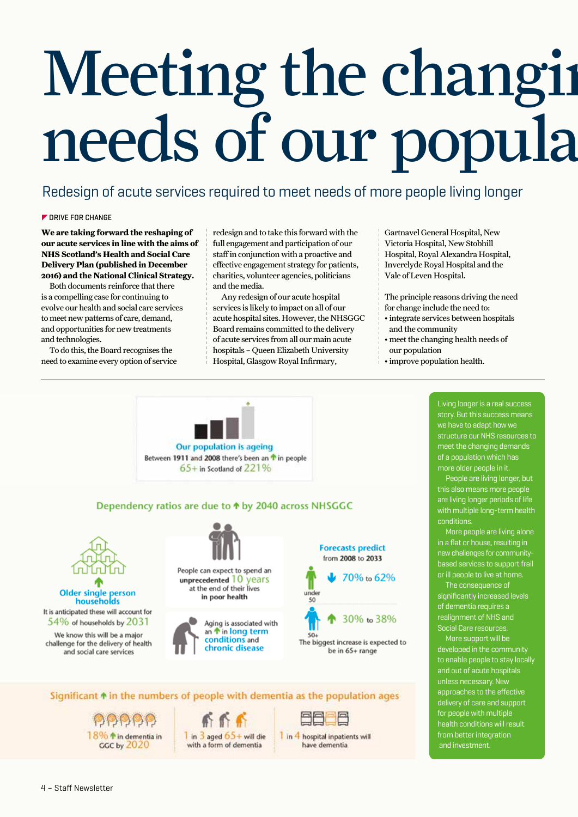# Meeting the changing needs of our popula

## Redesign of acute services required to meet needs of more people living longer

#### **DRIVE FOR CHANGE**

**We are taking forward the reshaping of our acute services in line with the aims of NHS Scotland's Health and Social Care Delivery Plan (published in December 2016) and the National Clinical Strategy.**

Both documents reinforce that there is a compelling case for continuing to evolve our health and social care services to meet new patterns of care, demand, and opportunities for new treatments and technologies.

To do this, the Board recognises the need to examine every option of service redesign and to take this forward with the full engagement and participation of our staff in conjunction with a proactive and effective engagement strategy for patients, charities, volunteer agencies, politicians and the media.

Any redesign of our acute hospital services is likely to impact on all of our acute hospital sites. However, the NHSGGC Board remains committed to the delivery of acute services from all our main acute hospitals – Queen Elizabeth University Hospital, Glasgow Royal Infirmary,

Gartnavel General Hospital, New Victoria Hospital, New Stobhill Hospital, Royal Alexandra Hospital, Inverclyde Royal Hospital and the Vale of Leven Hospital.

The principle reasons driving the need

- for change include the need to:
- integrate services between hospitals and the community
- meet the changing health needs of our population
- improve population health.



Significant  $\triangle$  in the numbers of people with dementia as the population ages

18% \* in dementia in GGC by 2020





I in 4 hospital innatients will have dementia

Living longer is a real success story. But this success means we have to adapt how we structure our NHS resources to meet the changing demands of a population which has more older people in it.

People are living longer, but this also means more people are living longer periods of life with multiple long-term health conditions.

More people are living alone in a flat or house, resulting in new challenges for communitybased services to support frail or ill people to live at home.

The consequence of significantly increased levels of dementia requires a realignment of NHS and Social Care resources.

More support will be developed in the community to enable people to stay locally and out of acute hospitals unless necessary. New approaches to the effective delivery of care and support for people with multiple health conditions will result from better integration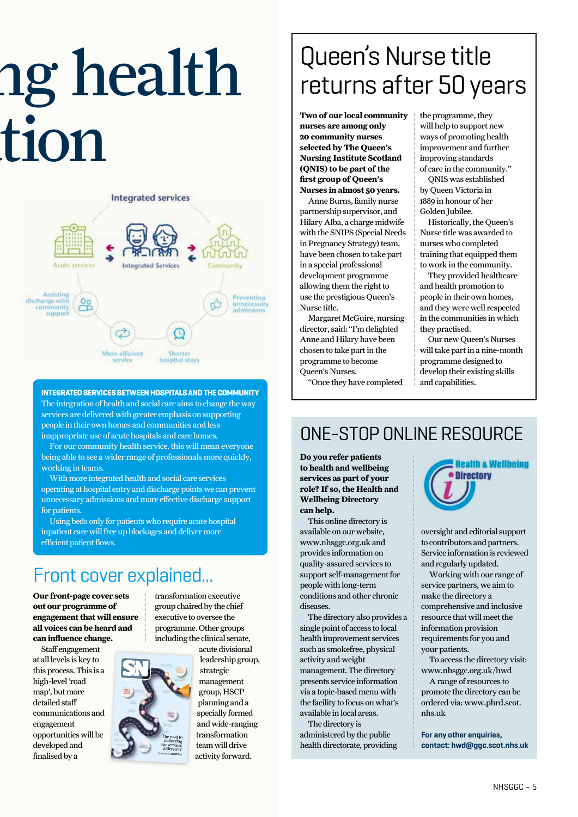# ng health tion



**INTEGRATED SERVICES BETWEEN HOSPITALS AND THE COMMUNITY**  The integration of health and social care aims to change the way services are delivered with greater emphasis on supporting people in their own homes and communities and less inappropriate use of acute hospitals and care homes.

For our community health service, this will mean everyone being able to see a wider range of professionals more quickly, working in teams.

With more integrated health and social care services operating at hospital entry and discharge points we can prevent unnecessary admissions and more effective discharge support for patients.

Using beds only for patients who require acute hospital inpatient care will free up blockages and deliver more efficient patient flows.

## Front cover explained...

**Our front-page cover sets out our programme of engagement that will ensure all voices can be heard and can influence change.**

Staff engagement at all levels is key to this process. This is a high-level 'road map', but more detailed staff communications and engagement opportunities will be developed and finalised by a

transformation executive group chaired by the chief executive to oversee the programme. Other groups including the clinical senate,



acute divisional leadership group, strategic management group, HSCP planning and a specially formed and wide-ranging transformation team will drive activity forward.

## Queen's Nurse title returns after 50 years

**Two of our local community nurses are among only 20 community nurses selected by The Queen's Nursing Institute Scotland (QNIS) to be part of the first group of Queen's Nurses in almost 50 years.**

Anne Burns, family nurse partnership supervisor, and Hilary Alba, a charge midwife with the SNIPS (Special Needs in Pregnancy Strategy) team, have been chosen to take part in a special professional development programme allowing them the right to use the prestigious Queen's Nurse title.

Margaret McGuire, nursing director, said: "I'm delighted Anne and Hilary have been chosen to take part in the programme to become Queen's Nurses.

"Once they have completed

the programme, they will help to support new ways of promoting health improvement and further improving standards of care in the community."

QNIS was established by Queen Victoria in 1889 in honour of her Golden Jubilee.

Historically, the Queen's Nurse title was awarded to nurses who completed training that equipped them to work in the community.

They provided healthcare and health promotion to people in their own homes, and they were well respected in the communities in which they practised.

Our new Queen's Nurses will take part in a nine-month programme designed to develop their existing skills and capabilities.

## ONE-STOP ONLINE RESOURCE

**Do you refer patients to health and wellbeing services as part of your role? If so, the Health and Wellbeing Directory can help.**

This online directory is available on our website, www.nhsggc.org.uk and provides information on quality-assured services to support self-management for people with long-term conditions and other chronic diseases.

The directory also provides a single point of access to local health improvement services such as smokefree, physical activity and weight management. The directory presents service information via a topic-based menu with the facility to focus on what's available in local areas.

The directory is administered by the public health directorate, providing



oversight and editorial support to contributors and partners. Service information is reviewed and regularly updated.

Working with our range of service partners, we aim to make the directory a comprehensive and inclusive resource that will meet the information provision requirements for you and your patients.

To access the directory visit: www.nhsggc.org.uk/hwd

A range of resources to promote the directory can be ordered via: www.phrd.scot. nhs.uk

**For any other enquiries, contact: hwd@ggc.scot.nhs.uk**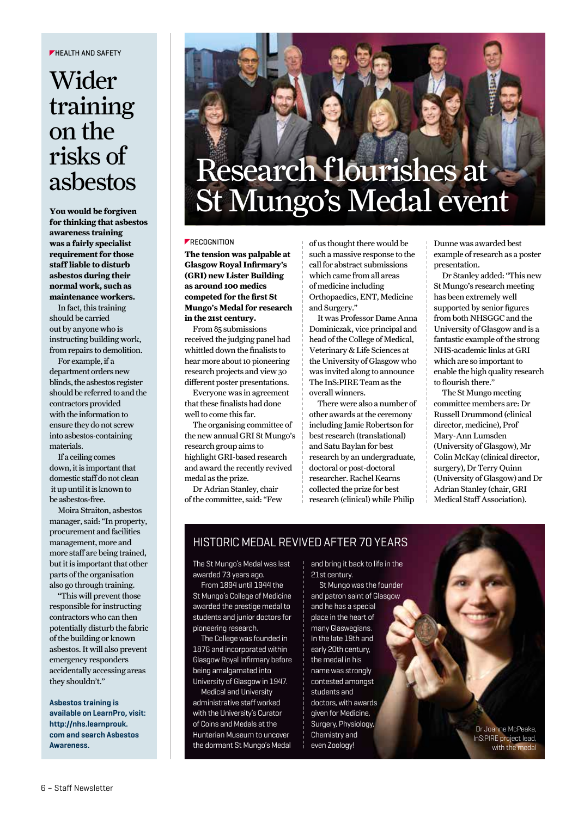#### **FHEALTH AND SAFFTY**

## Wider training on the risks of asbestos

**You would be forgiven for thinking that asbestos awareness training was a fairly specialist requirement for those staff liable to disturb asbestos during their normal work, such as maintenance workers.**

In fact, this training should be carried out by anyone who is instructing building work, from repairs to demolition.

For example, if a department orders new blinds, the asbestos register should be referred to and the contractors provided with the information to ensure they do not screw into asbestos-containing materials.

If a ceiling comes down, it is important that domestic staff do not clean it up until it is known to be asbestos-free.

Moira Straiton, asbestos manager, said: "In property, procurement and facilities management, more and more staff are being trained, but it is important that other parts of the organisation also go through training.

"This will prevent those responsible for instructing contractors who can then potentially disturb the fabric of the building or known asbestos. It will also prevent emergency responders accidentally accessing areas they shouldn't."

**Asbestos training is available on LearnPro, visit: http://nhs.learnprouk. com and search Asbestos Awareness.**

## Research flourishes at St Mungo's Medal event

#### **FRECOGNITION**

**The tension was palpable at Glasgow Royal Infirmary's (GRI) new Lister Building as around 100 medics competed for the first St Mungo's Medal for research in the 21st century.**

From 85 submissions received the judging panel had whittled down the finalists to hear more about 10 pioneering research projects and view 30 different poster presentations.

Everyone was in agreement that these finalists had done well to come this far.

The organising committee of the new annual GRI St Mungo's research group aims to highlight GRI-based research and award the recently revived medal as the prize.

Dr Adrian Stanley, chair of the committee, said: "Few

of us thought there would be such a massive response to the call for abstract submissions which came from all areas of medicine including Orthopaedics, ENT, Medicine and Surgery."

It was Professor Dame Anna Dominiczak, vice principal and head of the College of Medical, Veterinary & Life Sciences at the University of Glasgow who was invited along to announce The InS:PIRE Team as the overall winners.

There were also a number of other awards at the ceremony including Jamie Robertson for best research (translational) and Satu Baylan for best research by an undergraduate, doctoral or post-doctoral researcher. Rachel Kearns collected the prize for best research (clinical) while Philip

Dunne was awarded best example of research as a poster presentation.

Dr Stanley added: "This new St Mungo's research meeting has been extremely well supported by senior figures from both NHSGGC and the University of Glasgow and is a fantastic example of the strong NHS-academic links at GRI which are so important to enable the high quality research to flourish there."

The St Mungo meeting committee members are: Dr Russell Drummond (clinical director, medicine), Prof Mary-Ann Lumsden (University of Glasgow), Mr Colin McKay (clinical director, surgery), Dr Terry Quinn (University of Glasgow) and Dr Adrian Stanley (chair, GRI Medical Staff Association).

### HISTORIC MEDAL REVIVED AFTER 70 YEARS

The St Mungo's Medal was last awarded 73 years ago.

From 1894 until 1944 the St Mungo's College of Medicine awarded the prestige medal to students and junior doctors for pioneering research.

The College was founded in 1876 and incorporated within Glasgow Royal Infirmary before being amalgamated into University of Glasgow in 1947.

Medical and University administrative staff worked with the University's Curator of Coins and Medals at the Hunterian Museum to uncover the dormant St Mungo's Medal and bring it back to life in the 21st century.

St Mungo was the founder and patron saint of Glasgow and he has a special place in the heart of many Glaswegians. In the late 19th and early 20th century, the medal in his name was strongly contested amongst students and doctors, with awards given for Medicine, Surgery, Physiology, Chemistry and even Zoology!

Dr Joanne McPeake, InS:PIRE project lead, with the medal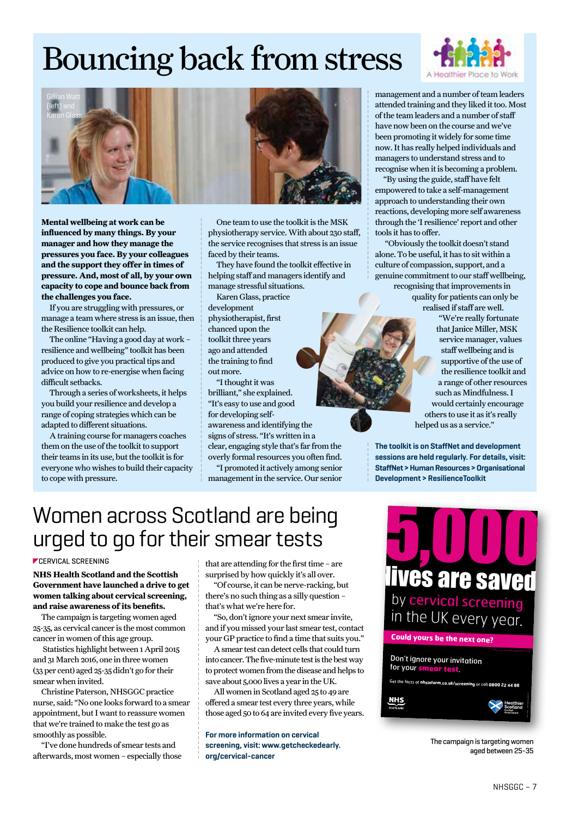## Bouncing back from stress



**Mental wellbeing at work can be influenced by many things. By your manager and how they manage the pressures you face. By your colleagues and the support they offer in times of pressure. And, most of all, by your own capacity to cope and bounce back from the challenges you face.**

If you are struggling with pressures, or manage a team where stress is an issue, then the Resilience toolkit can help.

The online "Having a good day at work – resilience and wellbeing" toolkit has been produced to give you practical tips and advice on how to re-energise when facing difficult setbacks.

Through a series of worksheets, it helps you build your resilience and develop a range of coping strategies which can be adapted to different situations.

A training course for managers coaches them on the use of the toolkit to support their teams in its use, but the toolkit is for everyone who wishes to build their capacity to cope with pressure.



One team to use the toolkit is the MSK physiotherapy service. With about 230 staff, the service recognises that stress is an issue faced by their teams.

They have found the toolkit effective in helping staff and managers identify and manage stressful situations.

Karen Glass, practice development physiotherapist, first chanced upon the toolkit three years ago and attended the training to find out more.

"I thought it was brilliant," she explained. "It's easy to use and good for developing selfawareness and identifying the signs of stress. "It's written in a clear, engaging style that's far from the overly formal resources you often find.

"I promoted it actively among senior management in the service. Our senior



management and a number of team leaders attended training and they liked it too. Most of the team leaders and a number of staff have now been on the course and we've been promoting it widely for some time now. It has really helped individuals and managers to understand stress and to recognise when it is becoming a problem.

"By using the guide, staff have felt empowered to take a self-management approach to understanding their own reactions, developing more self awareness through the 'I resilience' report and other tools it has to offer.

 "Obviously the toolkit doesn't stand alone. To be useful, it has to sit within a culture of compassion, support, and a genuine commitment to our staff wellbeing, recognising that improvements in quality for patients can only be realised if staff are well.

"We're really fortunate that Janice Miller, MSK service manager, values staff wellbeing and is supportive of the use of the resilience toolkit and a range of other resources such as Mindfulness. I would certainly encourage others to use it as it's really helped us as a service."

**The toolkit is on StaffNet and development sessions are held regularly. For details, visit: StaffNet > Human Resources > Organisational Development > ResilienceToolkit**

## Women across Scotland are being urged to go for their smear tests

#### **CERVICAL SCREENING**

**NHS Health Scotland and the Scottish Government have launched a drive to get women talking about cervical screening, and raise awareness of its benefits.**

The campaign is targeting women aged 25-35, as cervical cancer is the most common cancer in women of this age group.

 Statistics highlight between 1 April 2015 and 31 March 2016, one in three women (33 per cent) aged 25-35 didn't go for their smear when invited.

Christine Paterson, NHSGGC practice nurse, said: "No one looks forward to a smear appointment, but I want to reassure women that we're trained to make the test go as smoothly as possible.

"I've done hundreds of smear tests and afterwards, most women – especially those that are attending for the first time – are surprised by how quickly it's all over.

"Of course, it can be nerve-racking, but there's no such thing as a silly question – that's what we're here for.

"So, don't ignore your next smear invite, and if you missed your last smear test, contact your GP practice to find a time that suits you."

A smear test can detect cells that could turn into cancer. The five-minute test is the best way to protect women from the disease and helps to save about 5,000 lives a year in the UK.

All women in Scotland aged 25 to 49 are offered a smear test every three years, while those aged 50 to 64 are invited every five years.

**For more information on cervical screening, visit: www.getcheckedearly. org/cervical-cancer**



Don't ignore your invitation for your smear test. Get the facts at **nhsinform.co.uk/screening** or call **0800 22 44 88** 5677 8/2016 © NHS Health Scotland 2016 **NHS** 

> The campaign is targeting women aged between 25-35